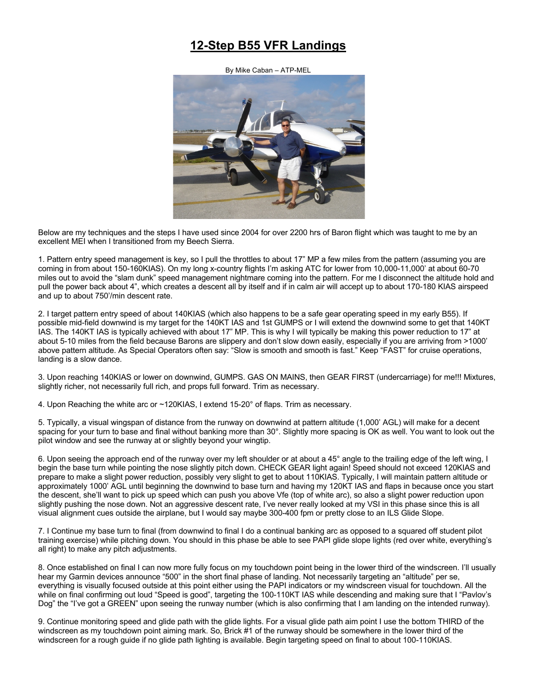## **12-Step B55 VFR Landings**

By Mike Caban – ATP-MEL



Below are my techniques and the steps I have used since 2004 for over 2200 hrs of Baron flight which was taught to me by an excellent MEI when I transitioned from my Beech Sierra.

1. Pattern entry speed management is key, so I pull the throttles to about 17" MP a few miles from the pattern (assuming you are coming in from about 150-160KIAS). On my long x-country flights I'm asking ATC for lower from 10,000-11,000' at about 60-70 miles out to avoid the "slam dunk" speed management nightmare coming into the pattern. For me I disconnect the altitude hold and pull the power back about 4", which creates a descent all by itself and if in calm air will accept up to about 170-180 KIAS airspeed and up to about 750'/min descent rate.

2. I target pattern entry speed of about 140KIAS (which also happens to be a safe gear operating speed in my early B55). If possible mid-field downwind is my target for the 140KT IAS and 1st GUMPS or I will extend the downwind some to get that 140KT IAS. The 140KT IAS is typically achieved with about 17" MP. This is why I will typically be making this power reduction to 17" at about 5-10 miles from the field because Barons are slippery and don't slow down easily, especially if you are arriving from >1000' above pattern altitude. As Special Operators often say: "Slow is smooth and smooth is fast." Keep "FAST" for cruise operations, landing is a slow dance.

3. Upon reaching 140KIAS or lower on downwind, GUMPS. GAS ON MAINS, then GEAR FIRST (undercarriage) for me!!! Mixtures, slightly richer, not necessarily full rich, and props full forward. Trim as necessary.

4. Upon Reaching the white arc or ~120KIAS, I extend 15-20° of flaps. Trim as necessary.

5. Typically, a visual wingspan of distance from the runway on downwind at pattern altitude (1,000' AGL) will make for a decent spacing for your turn to base and final without banking more than 30°. Slightly more spacing is OK as well. You want to look out the pilot window and see the runway at or slightly beyond your wingtip.

6. Upon seeing the approach end of the runway over my left shoulder or at about a 45° angle to the trailing edge of the left wing, I begin the base turn while pointing the nose slightly pitch down. CHECK GEAR light again! Speed should not exceed 120KIAS and prepare to make a slight power reduction, possibly very slight to get to about 110KIAS. Typically, I will maintain pattern altitude or approximately 1000' AGL until beginning the downwind to base turn and having my 120KT IAS and flaps in because once you start the descent, she'll want to pick up speed which can push you above Vfe (top of white arc), so also a slight power reduction upon slightly pushing the nose down. Not an aggressive descent rate, I've never really looked at my VSI in this phase since this is all visual alignment cues outside the airplane, but I would say maybe 300-400 fpm or pretty close to an ILS Glide Slope.

7. I Continue my base turn to final (from downwind to final I do a continual banking arc as opposed to a squared off student pilot training exercise) while pitching down. You should in this phase be able to see PAPI glide slope lights (red over white, everything's all right) to make any pitch adjustments.

8. Once established on final I can now more fully focus on my touchdown point being in the lower third of the windscreen. I'll usually hear my Garmin devices announce "500" in the short final phase of landing. Not necessarily targeting an "altitude" per se, everything is visually focused outside at this point either using the PAPI indicators or my windscreen visual for touchdown. All the while on final confirming out loud "Speed is good", targeting the 100-110KT IAS while descending and making sure that I "Pavlov's Dog" the "I've got a GREEN" upon seeing the runway number (which is also confirming that I am landing on the intended runway).

9. Continue monitoring speed and glide path with the glide lights. For a visual glide path aim point I use the bottom THIRD of the windscreen as my touchdown point aiming mark. So, Brick #1 of the runway should be somewhere in the lower third of the windscreen for a rough guide if no glide path lighting is available. Begin targeting speed on final to about 100-110KIAS.